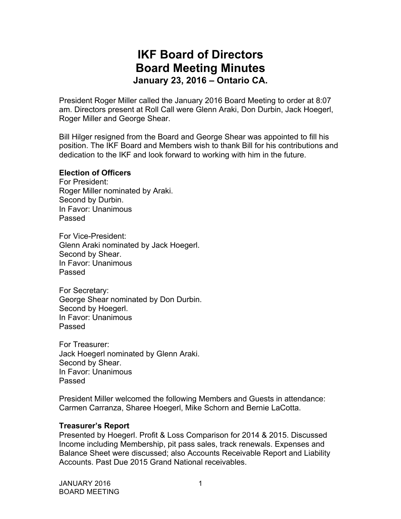# **IKF Board of Directors Board Meeting Minutes January 23, 2016 – Ontario CA.**

President Roger Miller called the January 2016 Board Meeting to order at 8:07 am. Directors present at Roll Call were Glenn Araki, Don Durbin, Jack Hoegerl, Roger Miller and George Shear.

Bill Hilger resigned from the Board and George Shear was appointed to fill his position. The IKF Board and Members wish to thank Bill for his contributions and dedication to the IKF and look forward to working with him in the future.

#### **Election of Officers**

For President: Roger Miller nominated by Araki. Second by Durbin. In Favor: Unanimous Passed

For Vice-President: Glenn Araki nominated by Jack Hoegerl. Second by Shear. In Favor: Unanimous Passed

For Secretary: George Shear nominated by Don Durbin. Second by Hoegerl. In Favor: Unanimous Passed

For Treasurer: Jack Hoegerl nominated by Glenn Araki. Second by Shear. In Favor: Unanimous Passed

President Miller welcomed the following Members and Guests in attendance: Carmen Carranza, Sharee Hoegerl, Mike Schorn and Bernie LaCotta.

### **Treasurer's Report**

Presented by Hoegerl. Profit & Loss Comparison for 2014 & 2015. Discussed Income including Membership, pit pass sales, track renewals. Expenses and Balance Sheet were discussed; also Accounts Receivable Report and Liability Accounts. Past Due 2015 Grand National receivables.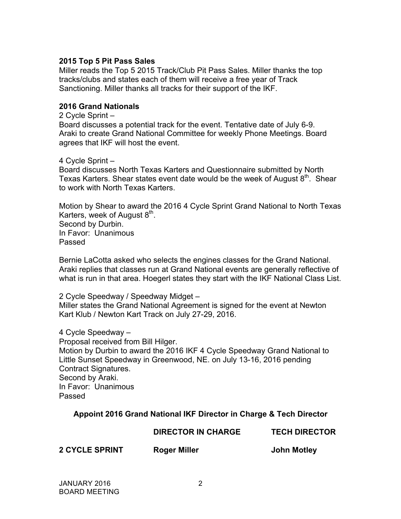## **2015 Top 5 Pit Pass Sales**

Miller reads the Top 5 2015 Track/Club Pit Pass Sales. Miller thanks the top tracks/clubs and states each of them will receive a free year of Track Sanctioning. Miller thanks all tracks for their support of the IKF.

### **2016 Grand Nationals**

2 Cycle Sprint –

Board discusses a potential track for the event. Tentative date of July 6-9. Araki to create Grand National Committee for weekly Phone Meetings. Board agrees that IKF will host the event.

#### 4 Cycle Sprint –

Board discusses North Texas Karters and Questionnaire submitted by North Texas Karters. Shear states event date would be the week of August 8<sup>th</sup>. Shear to work with North Texas Karters.

Motion by Shear to award the 2016 4 Cycle Sprint Grand National to North Texas Karters, week of August  $8<sup>th</sup>$ . Second by Durbin. In Favor: Unanimous Passed

Bernie LaCotta asked who selects the engines classes for the Grand National. Araki replies that classes run at Grand National events are generally reflective of what is run in that area. Hoegerl states they start with the IKF National Class List.

2 Cycle Speedway / Speedway Midget – Miller states the Grand National Agreement is signed for the event at Newton Kart Klub / Newton Kart Track on July 27-29, 2016.

4 Cycle Speedway –

Proposal received from Bill Hilger.

Motion by Durbin to award the 2016 IKF 4 Cycle Speedway Grand National to Little Sunset Speedway in Greenwood, NE. on July 13-16, 2016 pending Contract Signatures. Second by Araki. In Favor: Unanimous Passed

### **Appoint 2016 Grand National IKF Director in Charge & Tech Director**

**DIRECTOR IN CHARGE TECH DIRECTOR**

**2 CYCLE SPRINT Roger Miller John Motley**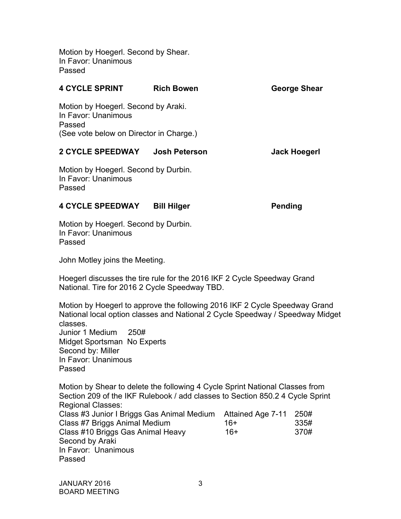Motion by Hoegerl. Second by Shear. In Favor: Unanimous Passed

| <b>4 CYCLE SPRINT</b>                                                                                           | <b>Rich Bowen</b>  | George Shear   |
|-----------------------------------------------------------------------------------------------------------------|--------------------|----------------|
| Motion by Hoegerl. Second by Araki.<br>In Favor: Unanimous<br>Passed<br>(See vote below on Director in Charge.) |                    |                |
| 2 CYCLE SPEEDWAY Josh Peterson                                                                                  |                    | Jack Hoegerl   |
| Motion by Hoegerl. Second by Durbin.<br>In Favor: Unanimous<br>Passed                                           |                    |                |
| <b>4 CYCLE SPEEDWAY</b>                                                                                         | <b>Bill Hilger</b> | <b>Pending</b> |

Motion by Hoegerl. Second by Durbin. In Favor: Unanimous Passed

John Motley joins the Meeting.

Hoegerl discusses the tire rule for the 2016 IKF 2 Cycle Speedway Grand National. Tire for 2016 2 Cycle Speedway TBD.

Motion by Hoegerl to approve the following 2016 IKF 2 Cycle Speedway Grand National local option classes and National 2 Cycle Speedway / Speedway Midget classes. Junior 1 Medium 250# Midget Sportsman No Experts Second by: Miller In Favor: Unanimous Passed

Motion by Shear to delete the following 4 Cycle Sprint National Classes from Section 209 of the IKF Rulebook / add classes to Section 850.2 4 Cycle Sprint Regional Classes: Class #3 Junior I Briggs Gas Animal Medium Attained Age 7-11 250# Class #7 Briggs Animal Medium 16+ 335# Class #10 Briggs Gas Animal Heavy 16+ 370# Second by Araki

Passed

In Favor: Unanimous